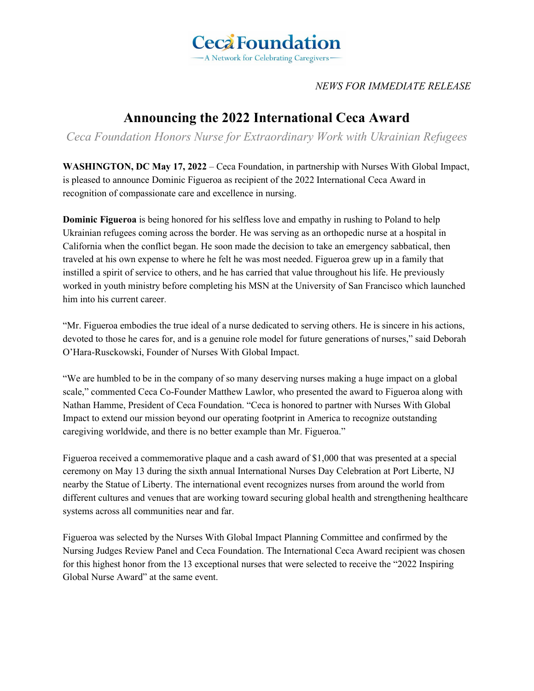

*NEWS FOR IMMEDIATE RELEASE*

## **Announcing the 2022 International Ceca Award**

*Ceca Foundation Honors Nurse for Extraordinary Work with Ukrainian Refugees*

**WASHINGTON, DC May 17, 2022** – Ceca Foundation, in partnership with Nurses With Global Impact, is pleased to announce Dominic Figueroa as recipient of the 2022 International Ceca Award in recognition of compassionate care and excellence in nursing.

**Dominic Figueroa** is being honored for his selfless love and empathy in rushing to Poland to help Ukrainian refugees coming across the border. He was serving as an orthopedic nurse at a hospital in California when the conflict began. He soon made the decision to take an emergency sabbatical, then traveled at his own expense to where he felt he was most needed. Figueroa grew up in a family that instilled a spirit of service to others, and he has carried that value throughout his life. He previously worked in youth ministry before completing his MSN at the University of San Francisco which launched him into his current career.

"Mr. Figueroa embodies the true ideal of a nurse dedicated to serving others. He is sincere in his actions, devoted to those he cares for, and is a genuine role model for future generations of nurses," said Deborah O'Hara-Rusckowski, Founder of Nurses With Global Impact.

"We are humbled to be in the company of so many deserving nurses making a huge impact on a global scale," commented Ceca Co-Founder Matthew Lawlor, who presented the award to Figueroa along with Nathan Hamme, President of Ceca Foundation. "Ceca is honored to partner with Nurses With Global Impact to extend our mission beyond our operating footprint in America to recognize outstanding caregiving worldwide, and there is no better example than Mr. Figueroa."

Figueroa received a commemorative plaque and a cash award of \$1,000 that was presented at a special ceremony on May 13 during the sixth annual International Nurses Day Celebration at Port Liberte, NJ nearby the Statue of Liberty. The international event recognizes nurses from around the world from different cultures and venues that are working toward securing global health and strengthening healthcare systems across all communities near and far.

Figueroa was selected by the Nurses With Global Impact Planning Committee and confirmed by the Nursing Judges Review Panel and Ceca Foundation. The International Ceca Award recipient was chosen for this highest honor from the 13 exceptional nurses that were selected to receive the "2022 Inspiring Global Nurse Award" at the same event.